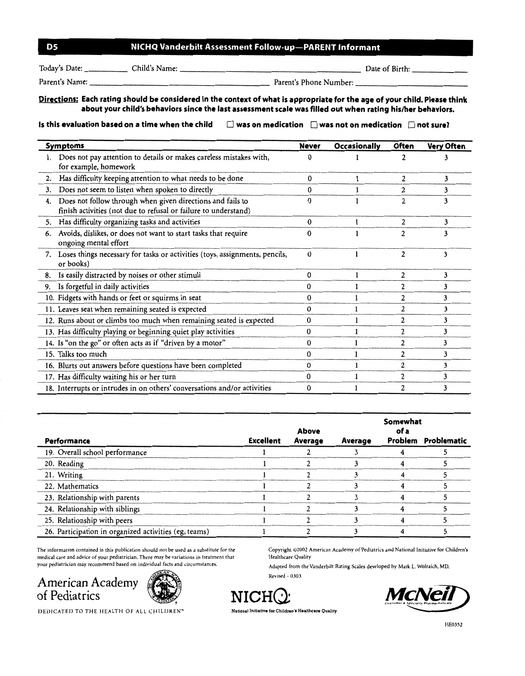| D5 | NICHQ Vanderbilt Assessment Follow-up-PARENT Informant |  |
|----|--------------------------------------------------------|--|
|----|--------------------------------------------------------|--|

Today's Date: Child's Name: Child's Name: Child's Name: Child's Name: Date of Birth:

Parent's Name:--------------------- Parent's Phone Number:-------------

## Directions: Each rating should be considered in the context of what is appropriate for the age of your child. Please think about your child's behaviors since the last assessment scale was filled out when rating his/her behaviors.

Is this evaluation based on a time when the child  $\Box$  was on medication  $\Box$  was not on medication  $\Box$  not sure?

| <b>Symptoms</b> |                                                                                                                               | <b>Never</b> | <b>Occasionally</b> | Often          | <b>Very Often</b> |
|-----------------|-------------------------------------------------------------------------------------------------------------------------------|--------------|---------------------|----------------|-------------------|
|                 | Does not pay attention to details or makes careless mistakes with,<br>for example, homework                                   | 0            |                     |                |                   |
| 2.              | Has difficulty keeping attention to what needs to be done                                                                     | $\bf{0}$     |                     | 2              | 3                 |
| 3.              | Does not seem to listen when spoken to directly                                                                               | 0            |                     |                | 3                 |
| 4.              | Does not follow through when given directions and fails to<br>finish activities (not due to refusal or failure to understand) | $\Omega$     |                     | 2              | 3                 |
| 5.              | Has difficulty organizing tasks and activities                                                                                | $\bf{0}$     |                     | 2              | 3                 |
| 6.              | Avoids, dislikes, or does not want to start tasks that require<br>ongoing mental effort                                       | $\mathbf{0}$ |                     |                |                   |
|                 | 7. Loses things necessary for tasks or activities (toys, assignments, pencils,<br>or books)                                   | $\bf{0}$     |                     | 2              | 3                 |
| 8.              | Is easily distracted by noises or other stimuli                                                                               | $\mathbf 0$  |                     | 2              | 3                 |
| 9.              | Is forgetful in daily activities                                                                                              |              |                     | 2              | 3                 |
|                 | 10. Fidgets with hands or feet or squirms in seat                                                                             | 0            |                     | 2              | 3                 |
|                 | 11. Leaves seat when remaining seated is expected                                                                             | 0            |                     |                |                   |
|                 | 12. Runs about or climbs too much when remaining seated is expected                                                           | 0            |                     | 2              | 3                 |
|                 | 13. Has difficulty playing or beginning quiet play activities                                                                 | $\Omega$     |                     | 2              | 3                 |
|                 | 14. Is "on the go" or often acts as if "driven by a motor"                                                                    | 0            |                     | $\overline{c}$ |                   |
|                 | 15. Talks too much                                                                                                            | 0            |                     | 2              | 3                 |
|                 | 16. Blurts out answers before questions have been completed                                                                   | 0            |                     | 2              | 3                 |
|                 | 17. Has difficulty waiting his or her turn                                                                                    | 0            |                     |                |                   |
|                 | 18. Interrupts or intrudes in on others' conversations and/or activities                                                      | 0            |                     |                |                   |

|                                                       |                  | Above   | Somewhat<br>of a |  |                     |  |
|-------------------------------------------------------|------------------|---------|------------------|--|---------------------|--|
| Performance                                           | <b>Excellent</b> | Average | Average          |  | Problem Problematic |  |
| 19. Overall school performance                        |                  |         |                  |  |                     |  |
| 20. Reading                                           |                  |         |                  |  |                     |  |
| 21. Writing                                           |                  |         |                  |  |                     |  |
| 22. Mathematics                                       |                  |         |                  |  |                     |  |
| 23. Relationship with parents                         |                  |         |                  |  |                     |  |
| 24. Relationship with siblings                        |                  |         |                  |  |                     |  |
| 25. Relationship with peers                           |                  |         |                  |  |                     |  |
| 26. Participation in organized activities (eg, teams) |                  |         |                  |  |                     |  |

The information contained in this publication should not be used as a substitute for *the*  medical care and advice of your pediatrician. There may be variations in treatment that your pediatrician may recommend based on individual facts and circumstances.

## American Academy American Academy<br>
of Pediatrics<br> **DEDICATED TO THE HEALTH OF ALL CHILDREN**



Copyright ©2002 American Academy of Pediatrics and National Initiative for Children's Healthcare Quality

Adapted from the Vanderbilt Rating Scales developed by Mark L. Wolraich, MD. Revised - 030 3





**DEDICATED TO THE HEALTH OF ALL CHILDREN"**